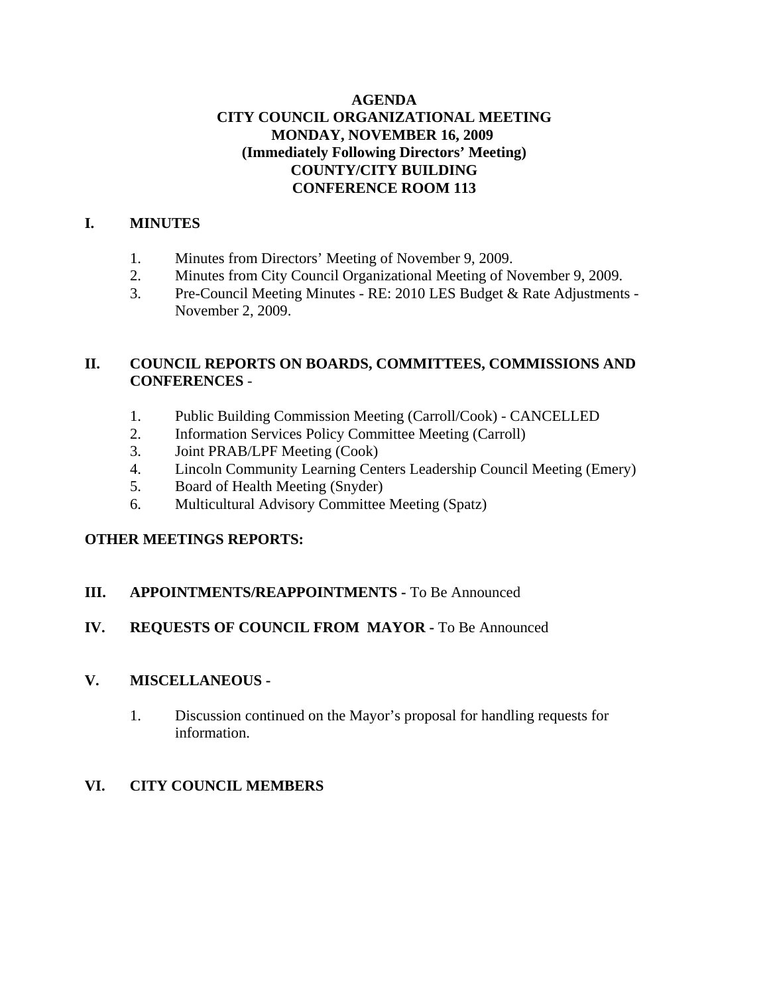## **AGENDA CITY COUNCIL ORGANIZATIONAL MEETING MONDAY, NOVEMBER 16, 2009 (Immediately Following Directors' Meeting) COUNTY/CITY BUILDING CONFERENCE ROOM 113**

## **I. MINUTES**

- 1. Minutes from Directors' Meeting of November 9, 2009.
- 2. Minutes from City Council Organizational Meeting of November 9, 2009.
- 3. Pre-Council Meeting Minutes RE: 2010 LES Budget & Rate Adjustments November 2, 2009.

## **II. COUNCIL REPORTS ON BOARDS, COMMITTEES, COMMISSIONS AND CONFERENCES** -

- 1. Public Building Commission Meeting (Carroll/Cook) CANCELLED
- 2. Information Services Policy Committee Meeting (Carroll)
- 3. Joint PRAB/LPF Meeting (Cook)
- 4. Lincoln Community Learning Centers Leadership Council Meeting (Emery)
- 5. Board of Health Meeting (Snyder)
- 6. Multicultural Advisory Committee Meeting (Spatz)

# **OTHER MEETINGS REPORTS:**

## **III. APPOINTMENTS/REAPPOINTMENTS -** To Be Announced

# **IV. REQUESTS OF COUNCIL FROM MAYOR -** To Be Announced

# **V. MISCELLANEOUS -**

1. Discussion continued on the Mayor's proposal for handling requests for information.

# **VI. CITY COUNCIL MEMBERS**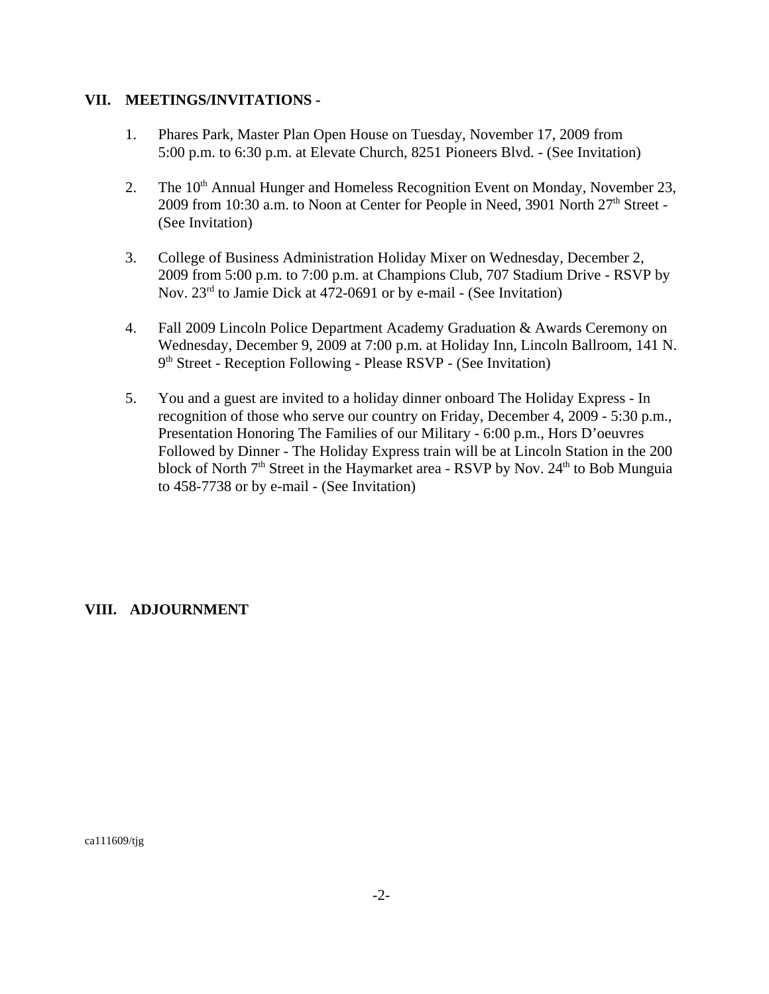#### **VII. MEETINGS/INVITATIONS -**

- 1. Phares Park, Master Plan Open House on Tuesday, November 17, 2009 from 5:00 p.m. to 6:30 p.m. at Elevate Church, 8251 Pioneers Blvd. - (See Invitation)
- 2. The  $10<sup>th</sup>$  Annual Hunger and Homeless Recognition Event on Monday, November 23, 2009 from 10:30 a.m. to Noon at Center for People in Need, 3901 North  $27<sup>th</sup>$  Street -(See Invitation)
- 3. College of Business Administration Holiday Mixer on Wednesday, December 2, 2009 from 5:00 p.m. to 7:00 p.m. at Champions Club, 707 Stadium Drive - RSVP by Nov. 23<sup>rd</sup> to Jamie Dick at 472-0691 or by e-mail - (See Invitation)
- 4. Fall 2009 Lincoln Police Department Academy Graduation & Awards Ceremony on Wednesday, December 9, 2009 at 7:00 p.m. at Holiday Inn, Lincoln Ballroom, 141 N. 9th Street - Reception Following - Please RSVP - (See Invitation)
- 5. You and a guest are invited to a holiday dinner onboard The Holiday Express In recognition of those who serve our country on Friday, December 4, 2009 - 5:30 p.m., Presentation Honoring The Families of our Military - 6:00 p.m., Hors D'oeuvres Followed by Dinner - The Holiday Express train will be at Lincoln Station in the 200 block of North  $7<sup>th</sup>$  Street in the Haymarket area - RSVP by Nov.  $24<sup>th</sup>$  to Bob Munguia to 458-7738 or by e-mail - (See Invitation)

## **VIII. ADJOURNMENT**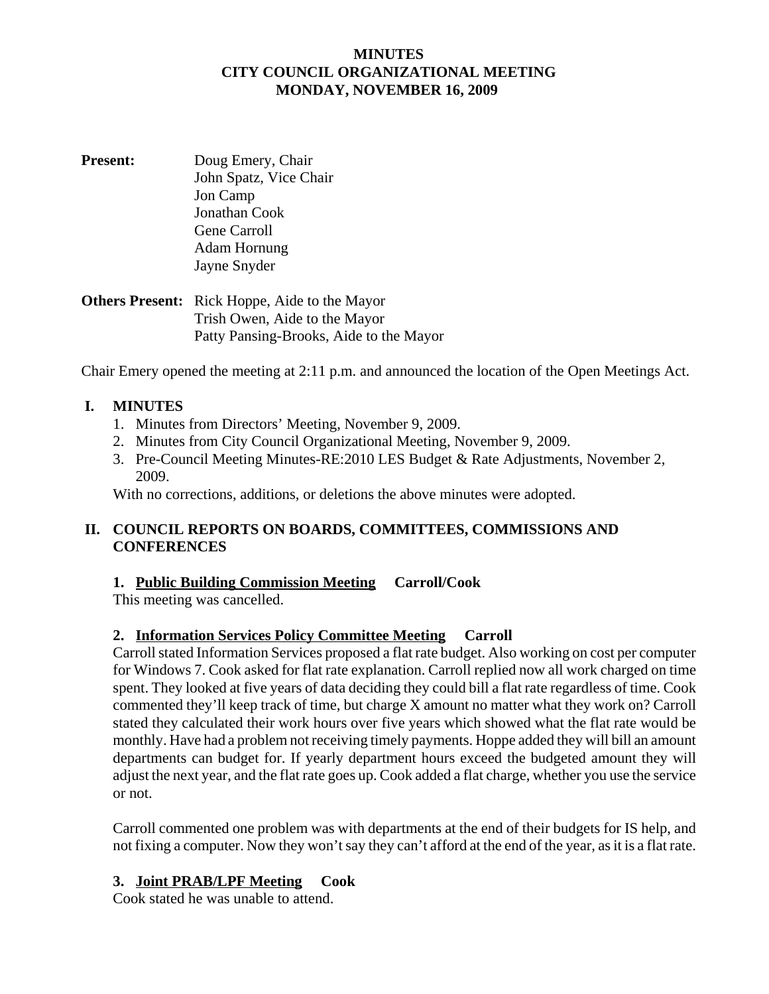#### **MINUTES CITY COUNCIL ORGANIZATIONAL MEETING MONDAY, NOVEMBER 16, 2009**

**Present:** Doug Emery, Chair John Spatz, Vice Chair Jon Camp Jonathan Cook Gene Carroll Adam Hornung Jayne Snyder

**Others Present:** Rick Hoppe, Aide to the Mayor Trish Owen, Aide to the Mayor Patty Pansing-Brooks, Aide to the Mayor

Chair Emery opened the meeting at 2:11 p.m. and announced the location of the Open Meetings Act.

#### **I. MINUTES**

- 1. Minutes from Directors' Meeting, November 9, 2009.
- 2. Minutes from City Council Organizational Meeting, November 9, 2009.
- 3. Pre-Council Meeting Minutes-RE:2010 LES Budget & Rate Adjustments, November 2, 2009.

With no corrections, additions, or deletions the above minutes were adopted.

#### **II. COUNCIL REPORTS ON BOARDS, COMMITTEES, COMMISSIONS AND CONFERENCES**

#### **1. Public Building Commission Meeting Carroll/Cook**

This meeting was cancelled.

## **2. Information Services Policy Committee Meeting Carroll**

Carroll stated Information Services proposed a flat rate budget. Also working on cost per computer for Windows 7. Cook asked for flat rate explanation. Carroll replied now all work charged on time spent. They looked at five years of data deciding they could bill a flat rate regardless of time. Cook commented they'll keep track of time, but charge X amount no matter what they work on? Carroll stated they calculated their work hours over five years which showed what the flat rate would be monthly. Have had a problem not receiving timely payments. Hoppe added they will bill an amount departments can budget for. If yearly department hours exceed the budgeted amount they will adjust the next year, and the flat rate goes up. Cook added a flat charge, whether you use the service or not.

Carroll commented one problem was with departments at the end of their budgets for IS help, and not fixing a computer. Now they won't say they can't afford at the end of the year, as it is a flat rate.

#### **3. Joint PRAB/LPF Meeting Cook**

Cook stated he was unable to attend.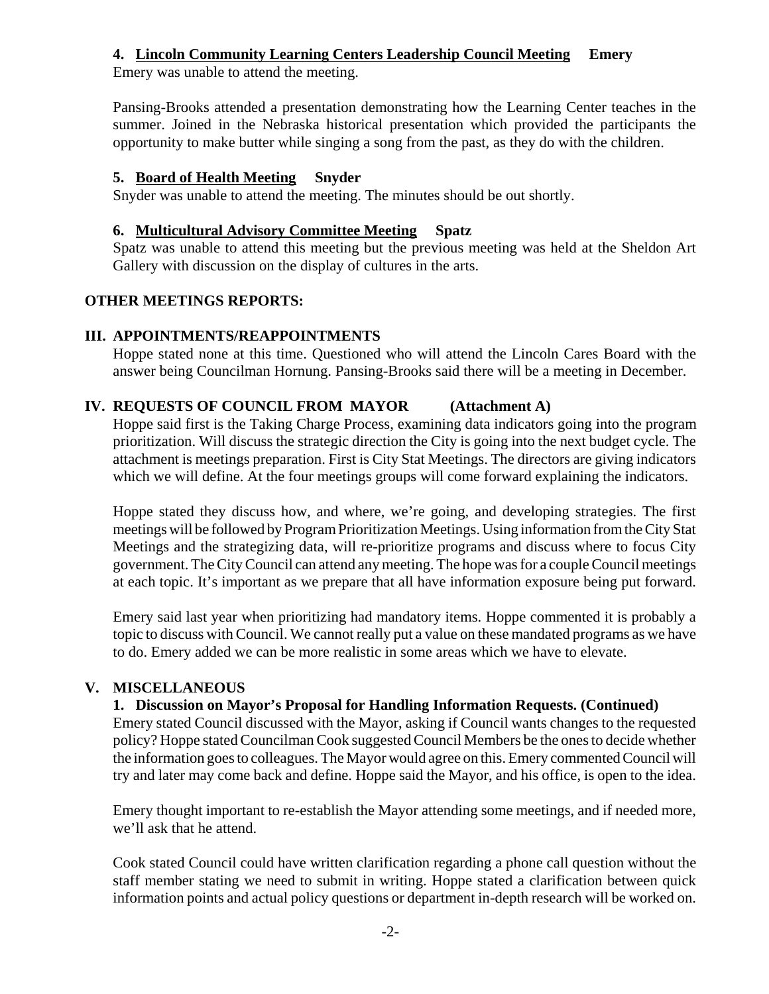## **4. Lincoln Community Learning Centers Leadership Council Meeting Emery**

Emery was unable to attend the meeting.

Pansing-Brooks attended a presentation demonstrating how the Learning Center teaches in the summer. Joined in the Nebraska historical presentation which provided the participants the opportunity to make butter while singing a song from the past, as they do with the children.

#### **5. Board of Health Meeting Snyder**

Snyder was unable to attend the meeting. The minutes should be out shortly.

## **6. Multicultural Advisory Committee Meeting Spatz**

Spatz was unable to attend this meeting but the previous meeting was held at the Sheldon Art Gallery with discussion on the display of cultures in the arts.

## **OTHER MEETINGS REPORTS:**

#### **III. APPOINTMENTS/REAPPOINTMENTS**

Hoppe stated none at this time. Questioned who will attend the Lincoln Cares Board with the answer being Councilman Hornung. Pansing-Brooks said there will be a meeting in December.

## **IV. REQUESTS OF COUNCIL FROM MAYOR (Attachment A)**

Hoppe said first is the Taking Charge Process, examining data indicators going into the program prioritization. Will discuss the strategic direction the City is going into the next budget cycle. The attachment is meetings preparation. First is City Stat Meetings. The directors are giving indicators which we will define. At the four meetings groups will come forward explaining the indicators.

Hoppe stated they discuss how, and where, we're going, and developing strategies. The first meetings will be followed by Program Prioritization Meetings. Using information from the City Stat Meetings and the strategizing data, will re-prioritize programs and discuss where to focus City government. The City Council can attend any meeting. The hope was for a couple Council meetings at each topic. It's important as we prepare that all have information exposure being put forward.

Emery said last year when prioritizing had mandatory items. Hoppe commented it is probably a topic to discuss with Council. We cannot really put a value on these mandated programs as we have to do. Emery added we can be more realistic in some areas which we have to elevate.

## **V. MISCELLANEOUS**

## **1. Discussion on Mayor's Proposal for Handling Information Requests. (Continued)**

Emery stated Council discussed with the Mayor, asking if Council wants changes to the requested policy? Hoppe stated Councilman Cook suggested Council Members be the ones to decide whether the information goes to colleagues. The Mayor would agree on this. Emery commented Council will try and later may come back and define. Hoppe said the Mayor, and his office, is open to the idea.

Emery thought important to re-establish the Mayor attending some meetings, and if needed more, we'll ask that he attend.

Cook stated Council could have written clarification regarding a phone call question without the staff member stating we need to submit in writing. Hoppe stated a clarification between quick information points and actual policy questions or department in-depth research will be worked on.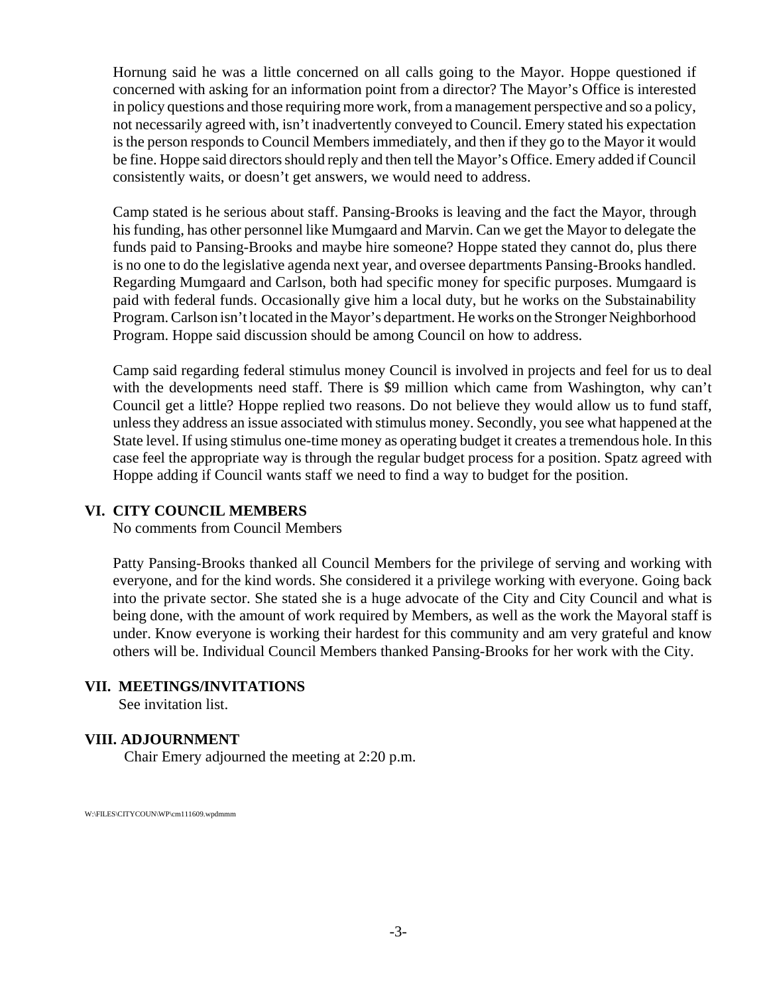Hornung said he was a little concerned on all calls going to the Mayor. Hoppe questioned if concerned with asking for an information point from a director? The Mayor's Office is interested in policy questions and those requiring more work, from a management perspective and so a policy, not necessarily agreed with, isn't inadvertently conveyed to Council. Emery stated his expectation is the person responds to Council Members immediately, and then if they go to the Mayor it would be fine. Hoppe said directors should reply and then tell the Mayor's Office. Emery added if Council consistently waits, or doesn't get answers, we would need to address.

Camp stated is he serious about staff. Pansing-Brooks is leaving and the fact the Mayor, through his funding, has other personnel like Mumgaard and Marvin. Can we get the Mayor to delegate the funds paid to Pansing-Brooks and maybe hire someone? Hoppe stated they cannot do, plus there is no one to do the legislative agenda next year, and oversee departments Pansing-Brooks handled. Regarding Mumgaard and Carlson, both had specific money for specific purposes. Mumgaard is paid with federal funds. Occasionally give him a local duty, but he works on the Substainability Program. Carlson isn't located in the Mayor's department. He works on the Stronger Neighborhood Program. Hoppe said discussion should be among Council on how to address.

Camp said regarding federal stimulus money Council is involved in projects and feel for us to deal with the developments need staff. There is \$9 million which came from Washington, why can't Council get a little? Hoppe replied two reasons. Do not believe they would allow us to fund staff, unless they address an issue associated with stimulus money. Secondly, you see what happened at the State level. If using stimulus one-time money as operating budget it creates a tremendous hole. In this case feel the appropriate way is through the regular budget process for a position. Spatz agreed with Hoppe adding if Council wants staff we need to find a way to budget for the position.

#### **VI. CITY COUNCIL MEMBERS**

No comments from Council Members

Patty Pansing-Brooks thanked all Council Members for the privilege of serving and working with everyone, and for the kind words. She considered it a privilege working with everyone. Going back into the private sector. She stated she is a huge advocate of the City and City Council and what is being done, with the amount of work required by Members, as well as the work the Mayoral staff is under. Know everyone is working their hardest for this community and am very grateful and know others will be. Individual Council Members thanked Pansing-Brooks for her work with the City.

#### **VII. MEETINGS/INVITATIONS**

See invitation list.

#### **VIII. ADJOURNMENT**

Chair Emery adjourned the meeting at 2:20 p.m.

W:\FILES\CITYCOUN\WP\cm111609.wpdmmm